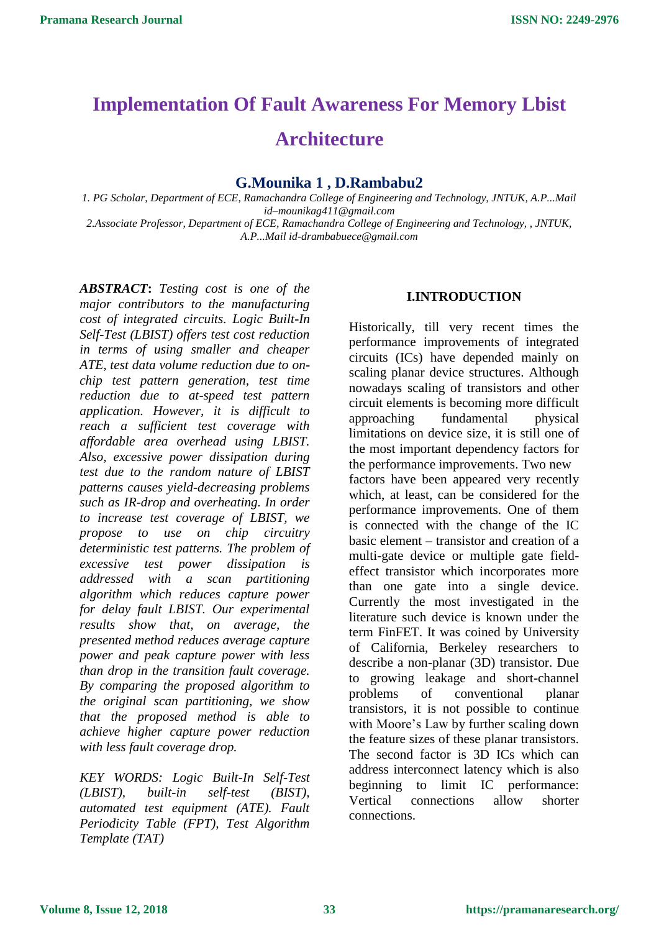# **Implementation Of Fault Awareness For Memory Lbist**

## **Architecture**

### **G.Mounika 1 , D.Rambabu2**

*1. PG Scholar, Department of ECE, Ramachandra College of Engineering and Technology, JNTUK, A.P...Mail id–mounikag411@gmail.com 2.Associate Professor, Department of ECE, Ramachandra College of Engineering and Technology, , JNTUK, A.P...Mail id-drambabuece@gmail.com*

*ABSTRACT***:** *Testing cost is one of the major contributors to the manufacturing cost of integrated circuits. Logic Built-In Self-Test (LBIST) offers test cost reduction in terms of using smaller and cheaper ATE, test data volume reduction due to onchip test pattern generation, test time reduction due to at-speed test pattern application. However, it is difficult to reach a sufficient test coverage with affordable area overhead using LBIST. Also, excessive power dissipation during test due to the random nature of LBIST patterns causes yield-decreasing problems such as IR-drop and overheating. In order to increase test coverage of LBIST, we propose to use on chip circuitry deterministic test patterns. The problem of excessive test power dissipation is addressed with a scan partitioning algorithm which reduces capture power for delay fault LBIST. Our experimental results show that, on average, the presented method reduces average capture power and peak capture power with less than drop in the transition fault coverage. By comparing the proposed algorithm to the original scan partitioning, we show that the proposed method is able to achieve higher capture power reduction with less fault coverage drop.*

*KEY WORDS: Logic Built-In Self-Test (LBIST), built-in self-test (BIST), automated test equipment (ATE). Fault Periodicity Table (FPT), Test Algorithm Template (TAT)*

#### **I.INTRODUCTION**

Historically, till very recent times the performance improvements of integrated circuits (ICs) have depended mainly on scaling planar device structures. Although nowadays scaling of transistors and other circuit elements is becoming more difficult approaching fundamental physical limitations on device size, it is still one of the most important dependency factors for the performance improvements. Two new factors have been appeared very recently which, at least, can be considered for the performance improvements. One of them is connected with the change of the IC basic element – transistor and creation of a multi-gate device or multiple gate fieldeffect transistor which incorporates more than one gate into a single device. Currently the most investigated in the literature such device is known under the term FinFET. It was coined by University of California, Berkeley researchers to describe a non-planar (3D) transistor. Due to growing leakage and short-channel problems of conventional planar transistors, it is not possible to continue with Moore's Law by further scaling down the feature sizes of these planar transistors. The second factor is 3D ICs which can address interconnect latency which is also beginning to limit IC performance: Vertical connections allow shorter connections.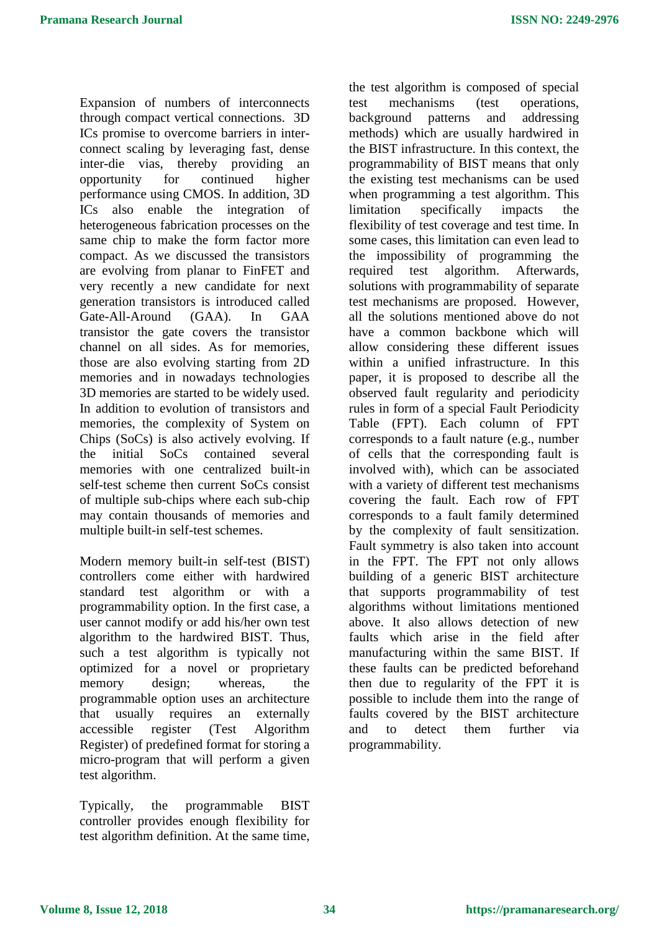Expansion of numbers of interconnects through compact vertical connections. 3D ICs promise to overcome barriers in interconnect scaling by leveraging fast, dense inter-die vias, thereby providing an opportunity for continued higher performance using CMOS. In addition, 3D ICs also enable the integration of heterogeneous fabrication processes on the same chip to make the form factor more compact. As we discussed the transistors are evolving from planar to FinFET and very recently a new candidate for next generation transistors is introduced called Gate-All-Around (GAA). In GAA transistor the gate covers the transistor channel on all sides. As for memories, those are also evolving starting from 2D memories and in nowadays technologies 3D memories are started to be widely used. In addition to evolution of transistors and memories, the complexity of System on Chips (SoCs) is also actively evolving. If the initial SoCs contained several memories with one centralized built-in self-test scheme then current SoCs consist of multiple sub-chips where each sub-chip may contain thousands of memories and multiple built-in self-test schemes.

Modern memory built-in self-test (BIST) controllers come either with hardwired standard test algorithm or with a programmability option. In the first case, a user cannot modify or add his/her own test algorithm to the hardwired BIST. Thus, such a test algorithm is typically not optimized for a novel or proprietary memory design; whereas, the programmable option uses an architecture that usually requires an externally accessible register (Test Algorithm Register) of predefined format for storing a micro-program that will perform a given test algorithm.

Typically, the programmable BIST controller provides enough flexibility for test algorithm definition. At the same time,

the test algorithm is composed of special test mechanisms (test operations, background patterns and addressing methods) which are usually hardwired in the BIST infrastructure. In this context, the programmability of BIST means that only the existing test mechanisms can be used when programming a test algorithm. This limitation specifically impacts the flexibility of test coverage and test time. In some cases, this limitation can even lead to the impossibility of programming the required test algorithm. Afterwards, solutions with programmability of separate test mechanisms are proposed. However, all the solutions mentioned above do not have a common backbone which will allow considering these different issues within a unified infrastructure. In this paper, it is proposed to describe all the observed fault regularity and periodicity rules in form of a special Fault Periodicity Table (FPT). Each column of FPT corresponds to a fault nature (e.g., number of cells that the corresponding fault is involved with), which can be associated with a variety of different test mechanisms covering the fault. Each row of FPT corresponds to a fault family determined by the complexity of fault sensitization. Fault symmetry is also taken into account in the FPT. The FPT not only allows building of a generic BIST architecture that supports programmability of test algorithms without limitations mentioned above. It also allows detection of new faults which arise in the field after manufacturing within the same BIST. If these faults can be predicted beforehand then due to regularity of the FPT it is possible to include them into the range of faults covered by the BIST architecture and to detect them further via programmability.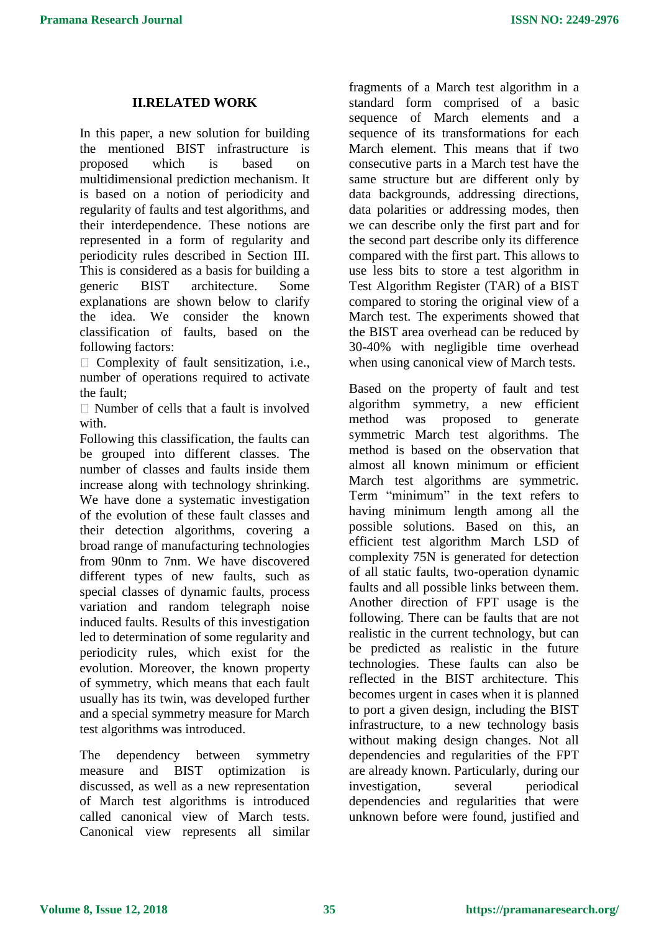#### **II.RELATED WORK**

In this paper, a new solution for building the mentioned BIST infrastructure is proposed which is based on multidimensional prediction mechanism. It is based on a notion of periodicity and regularity of faults and test algorithms, and their interdependence. These notions are represented in a form of regularity and periodicity rules described in Section III. This is considered as a basis for building a generic BIST architecture. Some explanations are shown below to clarify the idea. We consider the known classification of faults, based on the following factors:

 $\Box$  Complexity of fault sensitization, i.e., number of operations required to activate the fault;

 $\Box$  Number of cells that a fault is involved with

Following this classification, the faults can be grouped into different classes. The number of classes and faults inside them increase along with technology shrinking. We have done a systematic investigation of the evolution of these fault classes and their detection algorithms, covering a broad range of manufacturing technologies from 90nm to 7nm. We have discovered different types of new faults, such as special classes of dynamic faults, process variation and random telegraph noise induced faults. Results of this investigation led to determination of some regularity and periodicity rules, which exist for the evolution. Moreover, the known property of symmetry, which means that each fault usually has its twin, was developed further and a special symmetry measure for March test algorithms was introduced.

The dependency between symmetry measure and BIST optimization is discussed, as well as a new representation of March test algorithms is introduced called canonical view of March tests. Canonical view represents all similar fragments of a March test algorithm in a standard form comprised of a basic sequence of March elements and a sequence of its transformations for each March element. This means that if two consecutive parts in a March test have the same structure but are different only by data backgrounds, addressing directions, data polarities or addressing modes, then we can describe only the first part and for the second part describe only its difference compared with the first part. This allows to use less bits to store a test algorithm in Test Algorithm Register (TAR) of a BIST compared to storing the original view of a March test. The experiments showed that the BIST area overhead can be reduced by 30-40% with negligible time overhead when using canonical view of March tests.

Based on the property of fault and test algorithm symmetry, a new efficient method was proposed to generate symmetric March test algorithms. The method is based on the observation that almost all known minimum or efficient March test algorithms are symmetric. Term "minimum" in the text refers to having minimum length among all the possible solutions. Based on this, an efficient test algorithm March LSD of complexity 75N is generated for detection of all static faults, two-operation dynamic faults and all possible links between them. Another direction of FPT usage is the following. There can be faults that are not realistic in the current technology, but can be predicted as realistic in the future technologies. These faults can also be reflected in the BIST architecture. This becomes urgent in cases when it is planned to port a given design, including the BIST infrastructure, to a new technology basis without making design changes. Not all dependencies and regularities of the FPT are already known. Particularly, during our investigation, several periodical dependencies and regularities that were unknown before were found, justified and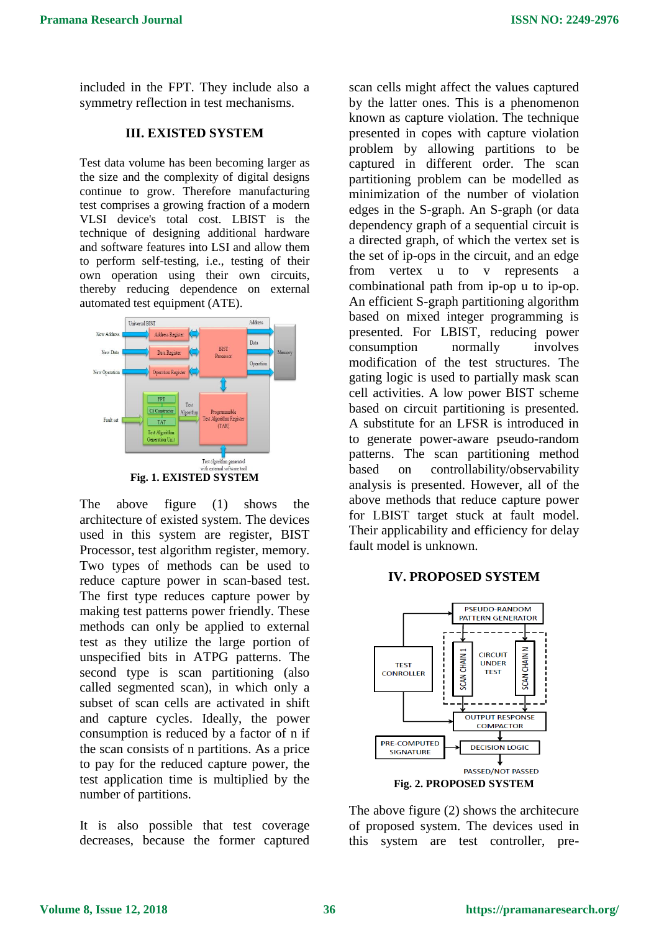included in the FPT. They include also a symmetry reflection in test mechanisms.

#### **III. EXISTED SYSTEM**

Test data volume has been becoming larger as the size and the complexity of digital designs continue to grow. Therefore manufacturing test comprises a growing fraction of a modern VLSI device's total cost. LBIST is the technique of designing additional hardware and software features into LSI and allow them to perform self-testing, i.e., testing of their own operation using their own circuits, thereby reducing dependence on external automated test equipment (ATE).



The above figure (1) shows the architecture of existed system. The devices used in this system are register, BIST Processor, test algorithm register, memory. Two types of methods can be used to reduce capture power in scan-based test. The first type reduces capture power by making test patterns power friendly. These methods can only be applied to external test as they utilize the large portion of unspecified bits in ATPG patterns. The second type is scan partitioning (also called segmented scan), in which only a subset of scan cells are activated in shift and capture cycles. Ideally, the power consumption is reduced by a factor of n if the scan consists of n partitions. As a price to pay for the reduced capture power, the test application time is multiplied by the number of partitions.

It is also possible that test coverage decreases, because the former captured

scan cells might affect the values captured by the latter ones. This is a phenomenon known as capture violation. The technique presented in copes with capture violation problem by allowing partitions to be captured in different order. The scan partitioning problem can be modelled as minimization of the number of violation edges in the S-graph. An S-graph (or data dependency graph of a sequential circuit is a directed graph, of which the vertex set is the set of ip-ops in the circuit, and an edge from vertex u to v represents a combinational path from ip-op u to ip-op. An efficient S-graph partitioning algorithm based on mixed integer programming is presented. For LBIST, reducing power consumption normally involves modification of the test structures. The gating logic is used to partially mask scan cell activities. A low power BIST scheme based on circuit partitioning is presented. A substitute for an LFSR is introduced in to generate power-aware pseudo-random patterns. The scan partitioning method based on controllability/observability analysis is presented. However, all of the above methods that reduce capture power for LBIST target stuck at fault model. Their applicability and efficiency for delay fault model is unknown.

#### **IV. PROPOSED SYSTEM**



The above figure (2) shows the architecure of proposed system. The devices used in this system are test controller, pre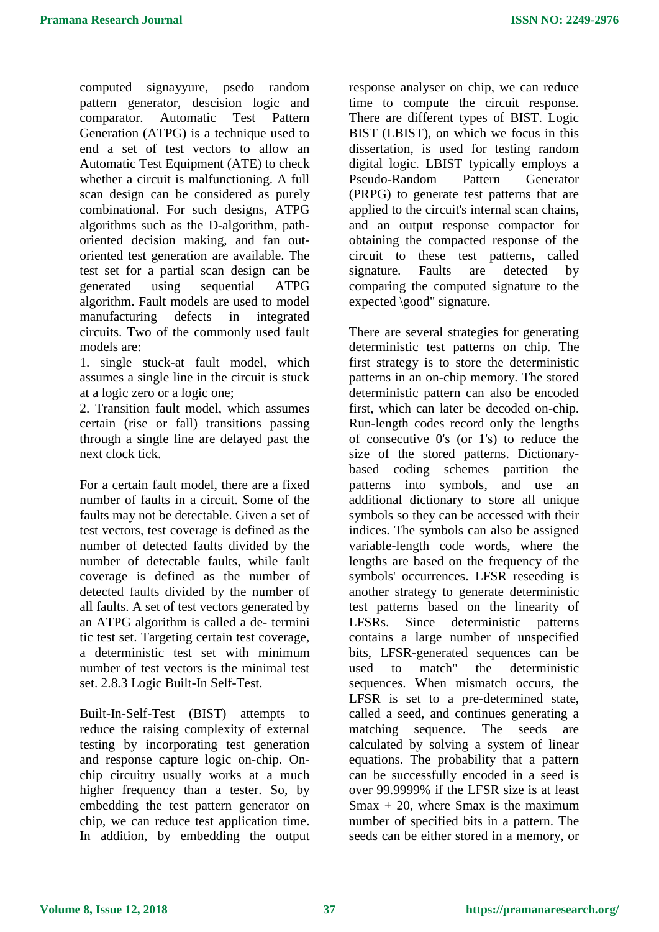computed signayyure, psedo random pattern generator, descision logic and comparator. Automatic Test Pattern Generation (ATPG) is a technique used to end a set of test vectors to allow an Automatic Test Equipment (ATE) to check whether a circuit is malfunctioning. A full scan design can be considered as purely combinational. For such designs, ATPG algorithms such as the D-algorithm, pathoriented decision making, and fan outoriented test generation are available. The test set for a partial scan design can be generated using sequential ATPG algorithm. Fault models are used to model manufacturing defects in integrated circuits. Two of the commonly used fault models are:

1. single stuck-at fault model, which assumes a single line in the circuit is stuck at a logic zero or a logic one;

2. Transition fault model, which assumes certain (rise or fall) transitions passing through a single line are delayed past the next clock tick.

For a certain fault model, there are a fixed number of faults in a circuit. Some of the faults may not be detectable. Given a set of test vectors, test coverage is defined as the number of detected faults divided by the number of detectable faults, while fault coverage is defined as the number of detected faults divided by the number of all faults. A set of test vectors generated by an ATPG algorithm is called a de- termini tic test set. Targeting certain test coverage, a deterministic test set with minimum number of test vectors is the minimal test set. 2.8.3 Logic Built-In Self-Test.

Built-In-Self-Test (BIST) attempts to reduce the raising complexity of external testing by incorporating test generation and response capture logic on-chip. Onchip circuitry usually works at a much higher frequency than a tester. So, by embedding the test pattern generator on chip, we can reduce test application time. In addition, by embedding the output response analyser on chip, we can reduce time to compute the circuit response. There are different types of BIST. Logic BIST (LBIST), on which we focus in this dissertation, is used for testing random digital logic. LBIST typically employs a Pseudo-Random Pattern Generator (PRPG) to generate test patterns that are applied to the circuit's internal scan chains, and an output response compactor for obtaining the compacted response of the circuit to these test patterns, called signature. Faults are detected by comparing the computed signature to the expected \good" signature.

There are several strategies for generating deterministic test patterns on chip. The first strategy is to store the deterministic patterns in an on-chip memory. The stored deterministic pattern can also be encoded first, which can later be decoded on-chip. Run-length codes record only the lengths of consecutive 0's (or 1's) to reduce the size of the stored patterns. Dictionarybased coding schemes partition the patterns into symbols, and use an additional dictionary to store all unique symbols so they can be accessed with their indices. The symbols can also be assigned variable-length code words, where the lengths are based on the frequency of the symbols' occurrences. LFSR reseeding is another strategy to generate deterministic test patterns based on the linearity of LFSRs. Since deterministic patterns contains a large number of unspecified bits, LFSR-generated sequences can be used to match" the deterministic sequences. When mismatch occurs, the LFSR is set to a pre-determined state, called a seed, and continues generating a matching sequence. The seeds are calculated by solving a system of linear equations. The probability that a pattern can be successfully encoded in a seed is over 99.9999% if the LFSR size is at least  $S$ max + 20, where  $S$ max is the maximum number of specified bits in a pattern. The seeds can be either stored in a memory, or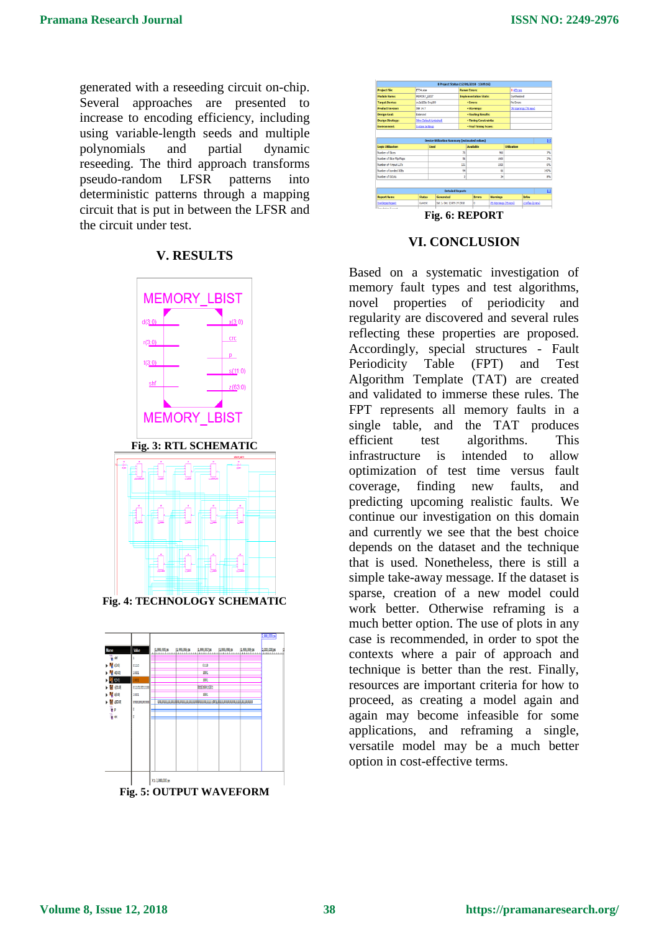generated with a reseeding circuit on-chip. Several approaches are presented to increase to encoding efficiency, including using variable-length seeds and multiple polynomials and partial dynamic reseeding. The third approach transforms pseudo-random LFSR patterns into deterministic patterns through a mapping circuit that is put in between the LFSR and the circuit under test.

#### **V. RESULTS**



**Fig. 4: TECHNOLOGY SCHEMATIC**







#### **VI. CONCLUSION**

Based on a systematic investigation of memory fault types and test algorithms, novel properties of periodicity and regularity are discovered and several rules reflecting these properties are proposed. Accordingly, special structures - Fault Periodicity Table (FPT) and Test Algorithm Template (TAT) are created and validated to immerse these rules. The FPT represents all memory faults in a single table, and the TAT produces efficient test algorithms. This infrastructure is intended to allow optimization of test time versus fault coverage, finding new faults, and predicting upcoming realistic faults. We continue our investigation on this domain and currently we see that the best choice depends on the dataset and the technique that is used. Nonetheless, there is still a simple take-away message. If the dataset is sparse, creation of a new model could work better. Otherwise reframing is a much better option. The use of plots in any case is recommended, in order to spot the contexts where a pair of approach and technique is better than the rest. Finally, resources are important criteria for how to proceed, as creating a model again and again may become infeasible for some applications, and reframing a single, versatile model may be a much better option in cost-effective terms.